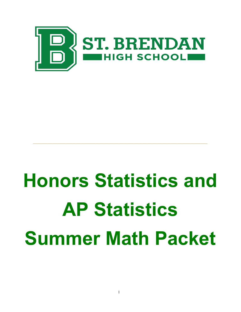

# Honors Statistics and AP Statistics Summer Math Packet

\_\_\_\_\_\_\_\_\_\_\_\_\_\_\_\_\_\_\_\_\_\_\_\_\_\_\_\_\_\_\_\_\_\_\_\_\_\_\_\_\_\_\_\_\_\_\_\_\_\_\_\_\_\_\_\_\_\_\_\_\_\_\_\_\_\_\_\_\_\_\_\_\_\_\_\_\_\_\_\_\_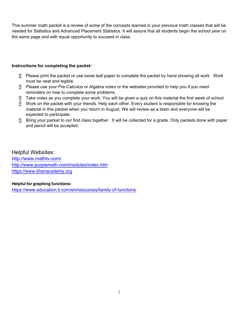This summer math packet is a review of some of the concepts learned in your previous math classes that will be needed for Statistics and Advanced Placement Statistics. It will assure that all students begin the school year on the same page and with equal opportunity to succeed in class.

# Instructions for completing the packet:

- Please print the packet or use loose leaf paper to complete the packet by hand showing all work. Work must be neat and legible.
- Please use your Pre-Calculus or Algebra notes or the websites provided to help you if you need reminders on how to complete some problems.
- Take notes as you complete your work. You will be given a quiz on this material the first week of school.
- Work on the packet with your friends. Help each other. Every student is responsible for knowing the material in this packet when you return in August. We will review as a team and everyone will be expected to participate.
- Bring your packet to our first class together. It will be collected for a grade. Only packets done with paper and pencil will be accepted.

# Helpful Websites:

[http://www.mathtv.com/](https://mathtv.com/) <http://www.purplemath.com/modules/index.htm> <https://www.khanacademy.org>

# Helpful for graphing functions:

<https://www.education.ti.com/en/resources/family-of-functions>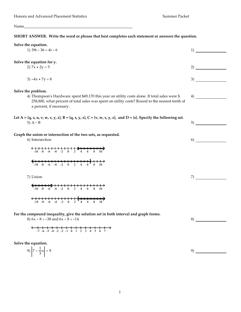Name\_\_\_\_\_\_\_\_\_\_\_\_\_\_\_\_\_\_\_\_\_\_\_\_\_\_\_\_\_\_\_\_\_\_\_\_\_\_\_\_\_\_\_\_\_\_\_\_\_\_\_\_\_\_\_\_

#### **SHORT ANSWER. Write the word or phrase that best completes each statement or answers the question.**

| Solve the equation.<br>1) $39t - 36 = 4t - 6$                                                                                                                                                                                | 1) |
|------------------------------------------------------------------------------------------------------------------------------------------------------------------------------------------------------------------------------|----|
| Solve the equation for y.                                                                                                                                                                                                    |    |
| 2) $7x + 2y = 5$                                                                                                                                                                                                             | 2) |
| $3) -4x + 7y = 8$                                                                                                                                                                                                            | 3) |
| Solve the problem.                                                                                                                                                                                                           |    |
| 4) Thompson's Hardware spent \$49,170 this year on utility costs alone. If total sales were \$<br>258,800, what percent of total sales was spent on utility costs? Round to the nearest tenth of<br>a percent, if necessary. | 4) |
| Let A = {q, s, u, v, w, x, y, z}, B = {q, s, y, z}, C = {v, w, x, y, z}, and D = {s}. Specify the following set.<br>5) $A \cap B$                                                                                            | 5) |
| Graph the union or intersection of the two sets, as requested.                                                                                                                                                               |    |
| 6) Intersection                                                                                                                                                                                                              | 6) |
|                                                                                                                                                                                                                              |    |
| $\xrightarrow{-10}$ -8 -6 -4 -2 0 2 4 6 8 10                                                                                                                                                                                 |    |
| 7) Union                                                                                                                                                                                                                     | 7) |

 $\xrightarrow{-10}$   $-8$   $-6$   $-4$   $-2$  0 2 4 6 8 10  $\leftarrow$  1 1 1 1 1 1 1 1 1 1 1  $\leftarrow$   $\leftarrow$   $\leftarrow$   $\leftarrow$   $\leftarrow$   $\leftarrow$   $\leftarrow$   $\leftarrow$   $\leftarrow$   $\leftarrow$   $\leftarrow$   $\leftarrow$   $\leftarrow$   $\leftarrow$   $\leftarrow$   $\leftarrow$   $\leftarrow$   $\leftarrow$   $\leftarrow$   $\leftarrow$   $\leftarrow$   $\leftarrow$   $\leftarrow$   $\leftarrow$   $\leftarrow$   $\leftarrow$   $\leftarrow$   $\leftarrow$   $\leftarrow$   $\leftarrow$   $\leftarrow$   $\leftarrow$ 

**For the compound inequality, give the solution set in both interval and graph forms.**

8)  $6x - 8 \ge -38$  and  $6x - 8 \le -14$ 

$$
\leftarrow + + + + + + + + + + + + + + \rightarrow
$$
  
-7 -6 -5 -4 -3 -2 -1 0 1 2 3 4 5 6 7

**Solve the equation.**

$$
9) \left| 7 - \frac{1}{3} x \right| = 9
$$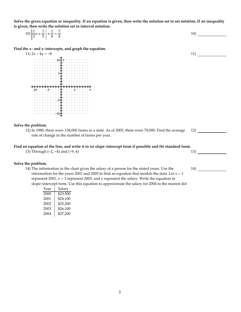**Solve the given equation or inequality. If an equation is given, then write the solution set in set notation. If an inequality is given, then write the solution set in interval notation.**

| 10) $\left  \frac{1}{2}x + \frac{1}{5} \right  + \frac{1}{4} = \frac{7}{4}$ |  |
|-----------------------------------------------------------------------------|--|
|-----------------------------------------------------------------------------|--|

**Find the x- and y-intercepts, and graph the equation.**

11)  $2x - 4y = -8$  $-10$  and  $-5$  for  $\pm$   $\pm$  for  $\pm$   $\pm$  5 for  $\pm$  5 for  $\pm$  5 for  $\pm$  $10 + y + 10 + y + 10 + y + 10 + y + 10 + y + 10 + y + 10 + y + 10 + y + 10 + y + 10 + y + 10 + y + 10 + y + 10 + y + 10 + y + 10 + y + 10 + y + 10 + y + 10 + y + 10 + y + 10 + y + 10 + y + 10 + y + 10 + y + 10 + y + 10 + y + 10 + y + 10 + y + 10 + y + 10 + y + 10 + y + 10 + y + 10 + y + 10 + y + 10 + y + 10 + y + 10 + y + 10 + y$  $\begin{minipage}{0.9\textwidth} \begin{tabular}{|c|c|c|} \hline & \multicolumn{2}{|c|}{\multicolumn{2}{|c|}{\multicolumn{2}{|c|}{\multicolumn{2}{|c|}{\multicolumn{2}{|c|}{\multicolumn{2}{|c|}{\multicolumn{2}{|c|}{\multicolumn{2}{|c|}{\multicolumn{2}{|c|}{\multicolumn{2}{|c|}{\multicolumn{2}{|c|}{\multicolumn{2}{|c|}{\multicolumn{2}{|c|}{\multicolumn{2}{|c|}{\multicolumn{2}{|c|}{\multicolumn{2}{|c|}{\multicolumn{2}{|c|}{\$ -5  $-10$ 

#### **Solve the problem.**

12) In 1980, there were 138,000 farms in a state. As of 2005, there were 78,000. Find the average rate of change in the number of farms per year.

#### **Find an equation of the line, and write it in (a) slope-intercept form if possible and (b) standard form.**

13) Through (-2, -4) and (-9, 4) 13) 13

#### **Solve the problem.**

14) The information in the chart gives the salary of a person for the stated years. Use the information for the years 2001 and 2003 to find an equation that models the data. Let  $x = 1$ represent 2001,  $x = 3$  represent 2003, and y represent the salary. Write the equation in slope-intercept form. Use this equation to approximate the salary for 2004 to the nearest dol

| Year | Salary   |
|------|----------|
| 2000 | \$23,500 |
| 2001 | \$24,100 |
| 2002 | \$25,200 |
| 2003 | \$26,100 |
| 2004 | \$27,200 |

11)

12)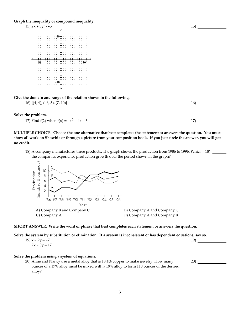**Graph the inequality or compound inequality.**



**Give the domain and range of the relation shown in the following.**

 $16)$  {(4, 4), (-6, 5), (7, 10)} 16)

**Solve the problem.**

17) Find f(2) when  $f(x) = -x^2 - 4x - 3$ . 17)

**MULTIPLE CHOICE. Choose the one alternative that best completes the statement or answers the question. You must show all work on Showbie or through a picture from your composition book. If you just circle the answer, you will get no credit.**

18) A company manufactures three products. The graph shows the production from 1986 to 1996. Whicl 18) the companies experience production growth over the period shown in the graph?



**SHORT ANSWER. Write the word or phrase that best completes each statement or answers the question.**

**Solve the system by substitution or elimination. If a system is inconsistent or has dependent equations, say so.**

| 19) $x - 2y = -7$ | 19) |
|-------------------|-----|
| $7x - 3y = 17$    |     |
|                   |     |

#### **Solve the problem using a system of equations.**

20) Anne and Nancy use a metal alloy that is 18.4% copper to make jewelry. How many ounces of a 17% alloy must be mixed with a 19% alloy to form 110 ounces of the desired alloy?

15)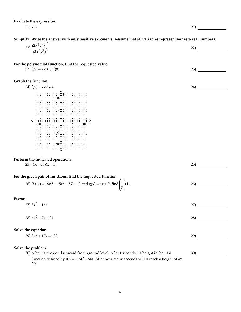**Evaluate the expression.**

21)  $-5^0$  21)

24)

30)

**Simplify. Write the answer with only positive exponents. Assume that all variables represent nonzero real numbers.**

| $\sim$ $-$<br>(2.7)<br>テームページ<br>$Y - V$<br>$\sim$<br>$\sim$<br>$\angle$ | $\sim$<br>$\overline{\phantom{a}}$ |
|--------------------------------------------------------------------------|------------------------------------|
| $\overline{2}$<br>スハー<br>(OX'                                            |                                    |

**For the polynomial function, find the requested value.**

23)  $f(x) = 4x + 6$ ;  $f(8)$  23)

**Graph the function.**



#### **Perform the indicated operations.**

 $25)$   $(4x - 10)(x - 1)$  25

# **For the given pair of functions, find the requested function.** 26) If  $f(x) = 18x^3 - 15x^2 - 57x - 2$  and  $g(x) = 6x + 9$ , find  $\left(\frac{f}{g}\right)(4)$ . 26)

**Factor.**

 $27) 8z^2 - 16z$  27)

 $28)$  6x<sup>2</sup> – 7x – 24 28)

#### **Solve the equation.**

| ንባነ |
|-----|
|     |

#### **Solve the problem.**

30) A ball is projected upward from ground level. After t seconds, its height in feet is a function defined by  $f(t) = -16t^2 + 64t$ . After how many seconds will it reach a height of 48 ft?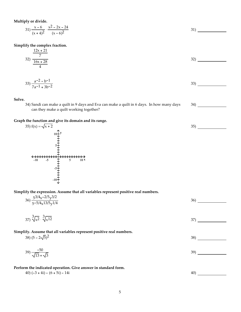**Multiply or divide.**

$$
31)\frac{x-6}{(x+4)^2} \cdot \frac{x^2-2x-24}{(x-6)^2}
$$

**Simplify the complex fraction.**  $12x + 21$ 

$$
\frac{12x + 21}{7}
$$
  
32) 
$$
\frac{16x + 28}{4}
$$

34)

35)

$$
33)\frac{a^{-2} - b^{-1}}{7a^{-1} + 3b^{-2}}
$$

**Solve.**

34) Sandi can make a quilt in 9 days and Eva can make a quilt in 6 days. In how many days can they make a quilt working together?

#### **Graph the function and give its domain and its range.**



**Simplify the expression. Assume that all variables represent positive real numbers.**

| 36) $\frac{5^{3/4}x^{-2/5}y^{3/2}}{5^{-5/4}x^{13/5}y^{1/4}}$                                       | 36) |
|----------------------------------------------------------------------------------------------------|-----|
| $37)\sqrt[3]{x^2} \cdot \sqrt[3]{x^{12}}$                                                          | 37) |
| Simplify. Assume that all variables represent positive real numbers.<br>38) $(5 - 2\sqrt{5})^2$    | 38) |
| $(39)\frac{-50}{\sqrt{13}+\sqrt{3}}$                                                               | 39) |
| Perform the indicated operation. Give answer in standard form.<br>40) $(-3 + 4i) - (6 + 5i) - 14i$ | 40) |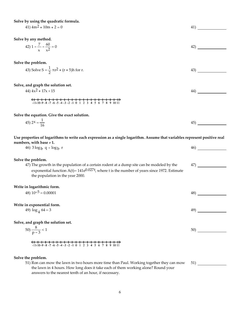## **Solve by using the quadratic formula.**

Soive by using the quadratic formula.

\n611 
$$
411
$$
  $411$   $411$   $411$   $411$   $411$   $411$   $411$   $411$   $411$   $411$   $411$   $411$   $411$   $411$   $411$   $411$   $411$   $411$   $411$   $411$   $411$   $411$   $411$   $411$   $411$   $411$   $411$   $411$   $411$   $411$   $411$   $411$   $411$   $411$   $411$   $411$   $411$   $411$   $411$   $411$   $411$   $411$   $411$   $411$   $411$   $411$   $411$   $411$   $411$   $411$   $411$   $411$   $411$   $411$   $411$   $411$   $411$   $411$   $411$   $411$   $411$  

51) Ron can mow the lawn in two hours more time than Paul. Working together they can mow the lawn in 4 hours. How long does it take each of them working alone? Round your answers to the nearest tenth of an hour, if necessary.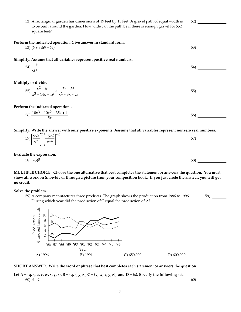52) A rectangular garden has dimensions of 19 feet by 15 feet. A gravel path of equal width is to be built around the garden. How wide can the path be if there is enough gravel for 552 square feet?

52)

59)

**Perform the indicated operation. Give answer in standard form.**

 $53)$   $(6 + 8i)(9 + 7i)$  53)

**Simplify. Assume that all variables represent positive real numbers.**

$$
54) \frac{-3}{\sqrt{15}} \tag{54}
$$

**Multiply or divide.**

$$
55) \frac{x^2 - 64}{x^2 - 14x + 49} \div \frac{7x - 56}{x^2 - 3x - 28}
$$

**Perform the indicated operations.**

$$
56)\frac{10x^3 + 10x^2 - 35x + 4}{5x} \tag{56}
$$

**Simplify. Write the answer with only positive exponents. Assume that all variables represent nonzero real numbers.**

| $(57)\left(\frac{9\times2}{y^2}\right)^3\left(\frac{15\times2}{y^{-4}}\right)^{-2}$ |  | 57<br>ၪ |  |
|-------------------------------------------------------------------------------------|--|---------|--|
|                                                                                     |  |         |  |

**Evaluate the expression.**

$$
58) (-5)^0 \tag{58}
$$

**MULTIPLE CHOICE. Choose the one alternative that best completes the statement or answers the question. You must show all work on Showbie or through a picture from your composition book. If you just circle the answer, you will get no credit.**

**Solve the problem.**

59) A company manufactures three products. The graph shows the production from 1986 to 1996. During which year did the production of C equal the production of A?



#### **SHORT ANSWER. Write the word or phrase that best completes each statement or answers the question.**

Let  $A = \{q, s, u, v, w, x, y, z\}$ ,  $B = \{q, s, y, z\}$ ,  $C = \{v, w, x, y, z\}$ , and  $D = \{s\}$ . Specify the following set. 60) B ∪ C 60)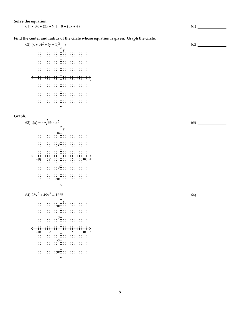#### **Solve the equation.**

61)  $-[8x + (2x + 9)] = 8 - (5x + 4)$  61)

### **Find the center and radius of the circle whose equation is given. Graph the circle.**







62)

63)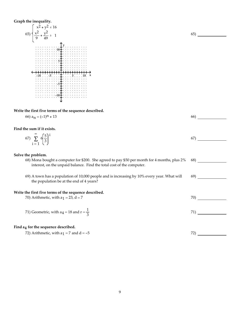## **Graph the inequality.**



# Write the first five terms of the sequence described.<br>  $(6)$   $2 - (-1)$   $11$   $13$

| 66) $a_n = (-1)^n + 13$                                                                      | 66) |
|----------------------------------------------------------------------------------------------|-----|
| Find the sum if it exists.<br>67) $\sum_{i=1}^{\infty} 6 \left( \frac{5}{3} \right)^{i}$     | 67) |
| Solve the problem.                                                                           |     |
| 68) Mona bought a computer for \$200. She agreed to pay \$50 per month for 4 months, plus 2% | 68) |
| interest, on the unpaid balance. Find the total cost of the computer.                        |     |
| 69) A town has a population of 10,000 people and is increasing by 10% every year. What will  | 69) |
| the population be at the end of 4 years?                                                     |     |
| Write the first five terms of the sequence described.                                        |     |
| 70) Arithmetic, with $a_1 = 23$ , $d = 7$                                                    | 70) |
|                                                                                              |     |
| 71) Geometric, with $a_4 = 18$ and $r = \frac{1}{3}$                                         | 71) |
|                                                                                              |     |
| Find a4 for the sequence described.                                                          |     |
| 72) Arithmetic, with $a_1 = 7$ and $d = -5$                                                  | 72) |
|                                                                                              |     |

65)

9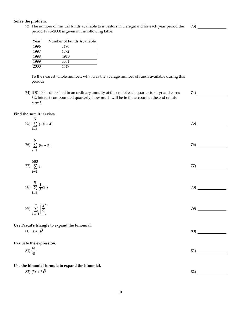#### 10

# **Solve the problem.**

73) The number of mutual funds available to investors in Dereguland for each year period the period 1996-2000 is given in the following table.

| Yearl | Number of Funds Available |
|-------|---------------------------|
| 1996  | 3490                      |
| 1997  | 4372                      |
| 1998  | 4910                      |
| 1999  | 5501                      |
| 2000  | 6649                      |

To the nearest whole number, what was the average number of funds available during this period?

74) If \$1400 is deposited in an ordinary annuity at the end of each quarter for 4 yr and earns 3% interest compounded quarterly, how much will be in the account at the end of this term?

74)

#### **Find the sum if it exists.**

| 5<br>75) $\sum (-3i + 4)$                              | 75) |
|--------------------------------------------------------|-----|
| $i=1$                                                  |     |
|                                                        | 76) |
| 76) $\sum_{i=1}^{6} (6i - 3)$                          |     |
| 580                                                    |     |
| 77) $\sum i$<br>$i=1$                                  | 77) |
|                                                        |     |
| 78) $\sum_{i=1}^{5} \frac{1}{3} (2^{i})$               | 78) |
|                                                        |     |
| 79) $\sum_{i=1}^{\infty} \left(\frac{4}{9}\right)^{i}$ | 79) |
|                                                        |     |
| Use Pascal's triangle to expand the binomial.          |     |
| 80) $(s + t)^3$                                        | 80) |
| Evaluate the expression.                               |     |
| $(81)\frac{6!}{4!}$                                    | 81) |
|                                                        |     |
| Use the binomial formula to expand the binomial.       |     |
| 82) $(5x + 3)^3$                                       | 82) |